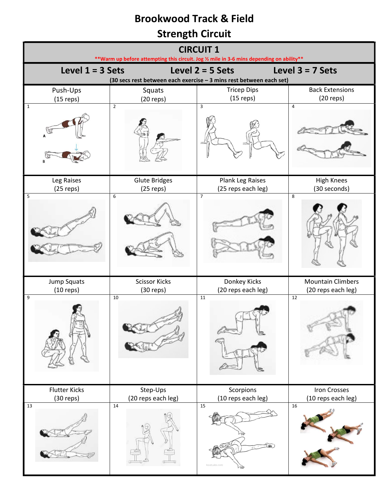## Brookwood Track & Field

## Strength Circuit

| <b>CIRCUIT 1</b><br>** Warm up before attempting this circuit. Jog 1/2 mile in 3-6 mins depending on ability**                        |                                      |                                                       |                                                 |  |
|---------------------------------------------------------------------------------------------------------------------------------------|--------------------------------------|-------------------------------------------------------|-------------------------------------------------|--|
| Level $1 = 3$ Sets<br>Level $2 = 5$ Sets<br>Level $3 = 7$ Sets<br>(30 secs rest between each exercise - 3 mins rest between each set) |                                      |                                                       |                                                 |  |
| Push-Ups<br>$(15$ reps)                                                                                                               | Squats<br>$(20$ reps)                | <b>Tricep Dips</b><br>$(15$ reps)                     | <b>Back Extensions</b><br>$(20$ reps)           |  |
| $\mathbf{1}$<br>B                                                                                                                     | $\overline{2}$                       | 3                                                     | $\overline{4}$                                  |  |
| Leg Raises<br>$(25$ reps)                                                                                                             | <b>Glute Bridges</b><br>$(25$ reps)  | Plank Leg Raises<br>(25 reps each leg)                | <b>High Knees</b><br>(30 seconds)               |  |
| $\overline{\mathbf{5}}$                                                                                                               | 6                                    | $\overline{7}$                                        | 8                                               |  |
| Jump Squats<br>$(10$ reps)                                                                                                            | <b>Scissor Kicks</b><br>$(30$ reps)  | Donkey Kicks<br>(20 reps each leg)                    | <b>Mountain Climbers</b><br>(20 reps each leg)  |  |
| 9                                                                                                                                     | $10\,$                               | 11                                                    | 12                                              |  |
| <b>Flutter Kicks</b><br>$(30$ reps)<br>13                                                                                             | Step-Ups<br>(20 reps each leg)<br>14 | Scorpions<br>(10 reps each leg)<br>15<br>koutLabs.com | <b>Iron Crosses</b><br>(10 reps each leg)<br>16 |  |